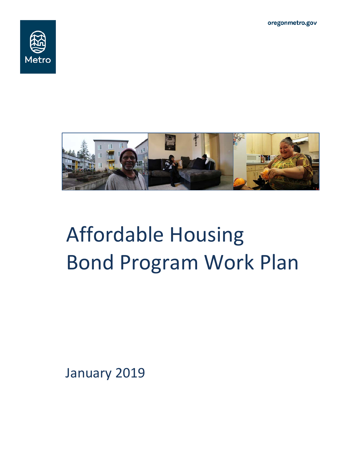oregonmetro.gov





# Affordable Housing Bond Program Work Plan

January 2019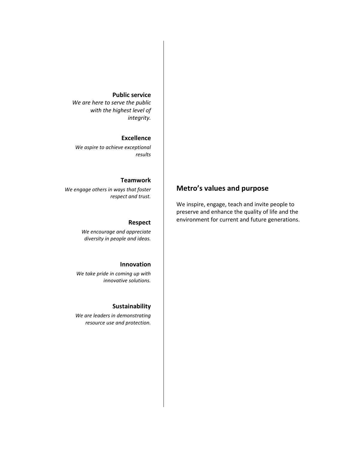#### **Public service**

*We are here to serve the public with the highest level of integrity.*

#### **Excellence**

*We aspire to achieve exceptional results*

#### **Teamwork**

*We engage others in ways that foster respect and trust.*

#### **Respect**

*We encourage and appreciate diversity in people and ideas.*

#### **Innovation**

*We take pride in coming up with innovative solutions.*

#### **Sustainability**

*We are leaders in demonstrating resource use and protection.*

# **Metro's values and purpose**

We inspire, engage, teach and invite people to preserve and enhance the quality of life and the environment for current and future generations.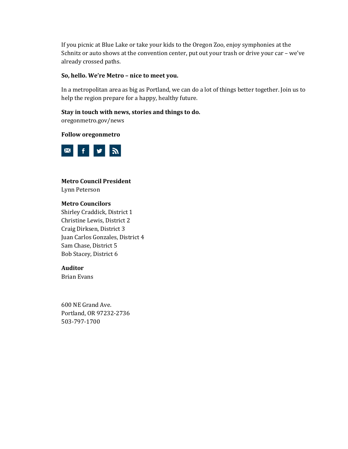If you picnic at Blue Lake or take your kids to the Oregon Zoo, enjoy symphonies at the Schnitz or auto shows at the convention center, put out your trash or drive your car – we've already crossed paths.

#### **So, hello. We're Metro – nice to meet you.**

In a metropolitan area as big as Portland, we can do a lot of things better together. Join us to help the region prepare for a happy, healthy future.

#### **Stay in touch with news, stories and things to do.**

oregonmetro.gov/news

#### **Follow oregonmetro**



# **Metro Council President**

Lynn Peterson

## **Metro Councilors**

Shirley Craddick, District 1 Christine Lewis, District 2 Craig Dirksen, District 3 Juan Carlos Gonzales, District 4 Sam Chase, District 5 Bob Stacey, District 6

#### **Auditor**

Brian Evans

600 NE Grand Ave. Portland, OR 97232-2736 503-797-1700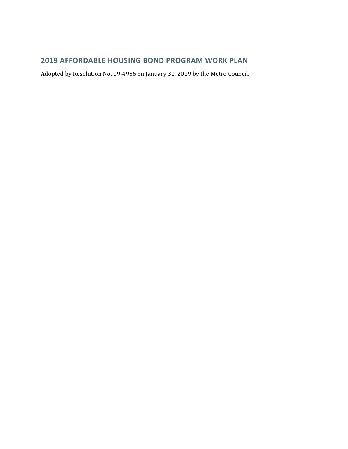## **2019 AFFORDABLE HOUSING BOND PROGRAM WORK PLAN**

Adopted by Resolution No. 19-4956 on January 31, 2019 by the Metro Council.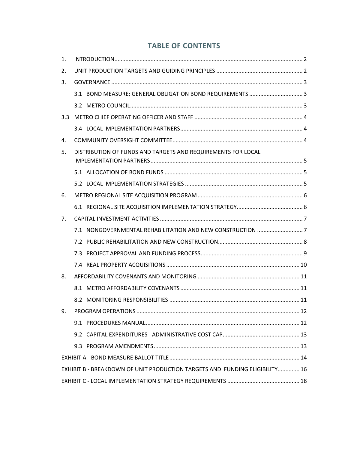## **TABLE OF CONTENTS**

| 1.  |                                                                             |  |  |  |  |  |  |
|-----|-----------------------------------------------------------------------------|--|--|--|--|--|--|
| 2.  |                                                                             |  |  |  |  |  |  |
| 3.  |                                                                             |  |  |  |  |  |  |
|     |                                                                             |  |  |  |  |  |  |
|     |                                                                             |  |  |  |  |  |  |
| 3.3 |                                                                             |  |  |  |  |  |  |
|     |                                                                             |  |  |  |  |  |  |
| 4.  |                                                                             |  |  |  |  |  |  |
| 5.  | DISTRIBUTION OF FUNDS AND TARGETS AND REQUIREMENTS FOR LOCAL                |  |  |  |  |  |  |
|     |                                                                             |  |  |  |  |  |  |
|     |                                                                             |  |  |  |  |  |  |
| 6.  |                                                                             |  |  |  |  |  |  |
|     |                                                                             |  |  |  |  |  |  |
| 7.  |                                                                             |  |  |  |  |  |  |
|     |                                                                             |  |  |  |  |  |  |
|     |                                                                             |  |  |  |  |  |  |
|     |                                                                             |  |  |  |  |  |  |
|     |                                                                             |  |  |  |  |  |  |
| 8.  |                                                                             |  |  |  |  |  |  |
|     |                                                                             |  |  |  |  |  |  |
|     |                                                                             |  |  |  |  |  |  |
|     |                                                                             |  |  |  |  |  |  |
|     |                                                                             |  |  |  |  |  |  |
|     |                                                                             |  |  |  |  |  |  |
|     |                                                                             |  |  |  |  |  |  |
|     |                                                                             |  |  |  |  |  |  |
|     | EXHIBIT B - BREAKDOWN OF UNIT PRODUCTION TARGETS AND FUNDING ELIGIBILITY 16 |  |  |  |  |  |  |
|     |                                                                             |  |  |  |  |  |  |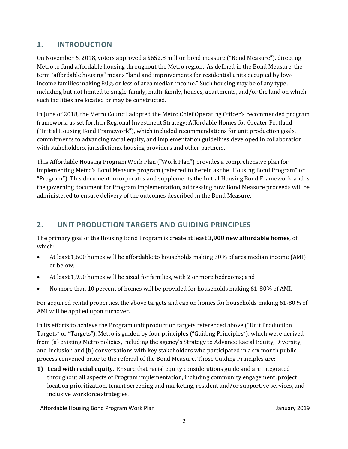# <span id="page-6-0"></span>**1. INTRODUCTION**

On November 6, 2018, voters approved a \$652.8 million bond measure ("Bond Measure"), directing Metro to fund affordable housing throughout the Metro region. As defined in the Bond Measure, the term "affordable housing" means "land and improvements for residential units occupied by lowincome families making 80% or less of area median income." Such housing may be of any type, including but not limited to single-family, multi-family, houses, apartments, and/or the land on which such facilities are located or may be constructed.

In June of 2018, the Metro Council adopted the Metro Chief Operating Officer's recommended program framework, as set forth in Regional Investment Strategy: Affordable Homes for Greater Portland ("Initial Housing Bond Framework"), which included recommendations for unit production goals, commitments to advancing racial equity, and implementation guidelines developed in collaboration with stakeholders, jurisdictions, housing providers and other partners.

This Affordable Housing Program Work Plan ("Work Plan") provides a comprehensive plan for implementing Metro's Bond Measure program (referred to herein as the "Housing Bond Program" or "Program"). This document incorporates and supplements the Initial Housing Bond Framework, and is the governing document for Program implementation, addressing how Bond Measure proceeds will be administered to ensure delivery of the outcomes described in the Bond Measure.

# <span id="page-6-1"></span>**2. UNIT PRODUCTION TARGETS AND GUIDING PRINCIPLES**

The primary goal of the Housing Bond Program is create at least **3,900 new affordable homes**, of which:

- At least 1,600 homes will be affordable to households making 30% of area median income (AMI) or below;
- At least 1,950 homes will be sized for families, with 2 or more bedrooms; and
- No more than 10 percent of homes will be provided for households making 61-80% of AMI.

For acquired rental properties, the above targets and cap on homes for households making 61-80% of AMI will be applied upon turnover.

In its efforts to achieve the Program unit production targets referenced above ("Unit Production Targets" or "Targets"), Metro is guided by four principles ("Guiding Principles"), which were derived from (a) existing Metro policies, including the agency's Strategy to Advance Racial Equity, Diversity, and Inclusion and (b) conversations with key stakeholders who participated in a six month public process convened prior to the referral of the Bond Measure. Those Guiding Principles are:

**1) Lead with racial equity**. Ensure that racial equity considerations guide and are integrated throughout all aspects of Program implementation, including community engagement, project location prioritization, tenant screening and marketing, resident and/or supportive services, and inclusive workforce strategies.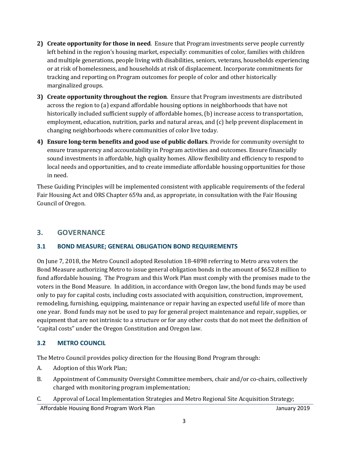- **2) Create opportunity for those in need**. Ensure that Program investments serve people currently left behind in the region's housing market, especially: communities of color, families with children and multiple generations, people living with disabilities, seniors, veterans, households experiencing or at risk of homelessness, and households at risk of displacement. Incorporate commitments for tracking and reporting on Program outcomes for people of color and other historically marginalized groups.
- **3) Create opportunity throughout the region**. Ensure that Program investments are distributed across the region to (a) expand affordable housing options in neighborhoods that have not historically included sufficient supply of affordable homes, (b) increase access to transportation, employment, education, nutrition, parks and natural areas, and (c) help prevent displacement in changing neighborhoods where communities of color live today.
- **4) Ensure long-term benefits and good use of public dollars**. Provide for community oversight to ensure transparency and accountability in Program activities and outcomes. Ensure financially sound investments in affordable, high quality homes. Allow flexibility and efficiency to respond to local needs and opportunities, and to create immediate affordable housing opportunities for those in need.

These Guiding Principles will be implemented consistent with applicable requirements of the federal Fair Housing Act and ORS Chapter 659a and, as appropriate, in consultation with the Fair Housing Council of Oregon.

## <span id="page-7-0"></span>**3. GOVERNANCE**

## <span id="page-7-1"></span>**3.1 BOND MEASURE; GENERAL OBLIGATION BOND REQUIREMENTS**

On June 7, 2018, the Metro Council adopted Resolution 18-4898 referring to Metro area voters the Bond Measure authorizing Metro to issue general obligation bonds in the amount of \$652.8 million to fund affordable housing. The Program and this Work Plan must comply with the promises made to the voters in the Bond Measure. In addition, in accordance with Oregon law, the bond funds may be used only to pay for capital costs, including costs associated with acquisition, construction, improvement, remodeling, furnishing, equipping, maintenance or repair having an expected useful life of more than one year. Bond funds may not be used to pay for general project maintenance and repair, supplies, or equipment that are not intrinsic to a structure or for any other costs that do not meet the definition of "capital costs" under the Oregon Constitution and Oregon law.

## <span id="page-7-2"></span>**3.2 METRO COUNCIL**

The Metro Council provides policy direction for the Housing Bond Program through:

- A. Adoption of this Work Plan;
- B. Appointment of Community Oversight Committee members, chair and/or co-chairs, collectively charged with monitoring program implementation;
- C. Approval of Local Implementation Strategies and Metro Regional Site Acquisition Strategy;

Affordable Housing Bond Program Work Plan January 2019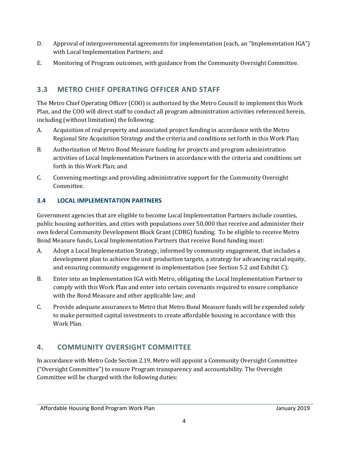- D. Approval of intergovernmental agreements for implementation (each, an "Implementation IGA") with Local Implementation Partners; and
- E. Monitoring of Program outcomes, with guidance from the Community Oversight Committee.

# <span id="page-8-0"></span>**3.3 METRO CHIEF OPERATING OFFICER AND STAFF**

The Metro Chief Operating Officer (COO) is authorized by the Metro Council to implement this Work Plan, and the COO will direct staff to conduct all program administration activities referenced herein, including (without limitation) the following:

- A. Acquisition of real property and associated project funding in accordance with the Metro Regional Site Acquisition Strategy and the criteria and conditions set forth in this Work Plan;
- B. Authorization of Metro Bond Measure funding for projects and program administration activities of Local Implementation Partners in accordance with the criteria and conditions set forth in this Work Plan; and
- C. Convening meetings and providing administrative support for the Community Oversight Committee.

## <span id="page-8-1"></span>**3.4 LOCAL IMPLEMENTATION PARTNERS**

Government agencies that are eligible to become Local Implementation Partners include counties, public housing authorities, and cities with populations over 50,000 that receive and administer their own federal Community Development Block Grant (CDBG) funding. To be eligible to receive Metro Bond Measure funds, Local Implementation Partners that receive Bond funding must:

- A. Adopt a Local Implementation Strategy, informed by community engagement, that includes a development plan to achieve the unit production targets, a strategy for advancing racial equity, and ensuring community engagement in implementation (see Section 5.2 and Exhibit C);
- B. Enter into an Implementation IGA with Metro, obligating the Local Implementation Partner to comply with this Work Plan and enter into certain covenants required to ensure compliance with the Bond Measure and other applicable law; and
- C. Provide adequate assurances to Metro that Metro Bond Measure funds will be expended solely to make permitted capital investments to create affordable housing in accordance with this Work Plan.

# <span id="page-8-2"></span>**4. COMMUNITY OVERSIGHT COMMITTEE**

In accordance with Metro Code Section 2.19, Metro will appoint a Community Oversight Committee ("Oversight Committee") to ensure Program transparency and accountability. The Oversight Committee will be charged with the following duties: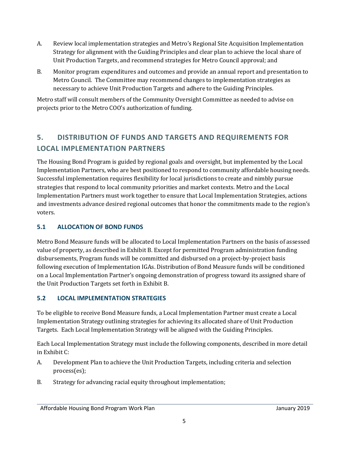- A. Review local implementation strategies and Metro's Regional Site Acquisition Implementation Strategy for alignment with the Guiding Principles and clear plan to achieve the local share of Unit Production Targets, and recommend strategies for Metro Council approval; and
- B. Monitor program expenditures and outcomes and provide an annual report and presentation to Metro Council. The Committee may recommend changes to implementation strategies as necessary to achieve Unit Production Targets and adhere to the Guiding Principles.

Metro staff will consult members of the Community Oversight Committee as needed to advise on projects prior to the Metro COO's authorization of funding.

# <span id="page-9-0"></span>**5. DISTRIBUTION OF FUNDS AND TARGETS AND REQUIREMENTS FOR LOCAL IMPLEMENTATION PARTNERS**

The Housing Bond Program is guided by regional goals and oversight, but implemented by the Local Implementation Partners, who are best positioned to respond to community affordable housing needs. Successful implementation requires flexibility for local jurisdictions to create and nimbly pursue strategies that respond to local community priorities and market contexts. Metro and the Local Implementation Partners must work together to ensure that Local Implementation Strategies, actions and investments advance desired regional outcomes that honor the commitments made to the region's voters.

## <span id="page-9-1"></span>**5.1 ALLOCATION OF BOND FUNDS**

Metro Bond Measure funds will be allocated to Local Implementation Partners on the basis of assessed value of property, as described in Exhibit B. Except for permitted Program administration funding disbursements, Program funds will be committed and disbursed on a project-by-project basis following execution of Implementation IGAs. Distribution of Bond Measure funds will be conditioned on a Local Implementation Partner's ongoing demonstration of progress toward its assigned share of the Unit Production Targets set forth in Exhibit B.

## <span id="page-9-2"></span>**5.2 LOCAL IMPLEMENTATION STRATEGIES**

To be eligible to receive Bond Measure funds, a Local Implementation Partner must create a Local Implementation Strategy outlining strategies for achieving its allocated share of Unit Production Targets. Each Local Implementation Strategy will be aligned with the Guiding Principles.

Each Local Implementation Strategy must include the following components, described in more detail in Exhibit C:

- A. Development Plan to achieve the Unit Production Targets, including criteria and selection process(es);
- B. Strategy for advancing racial equity throughout implementation;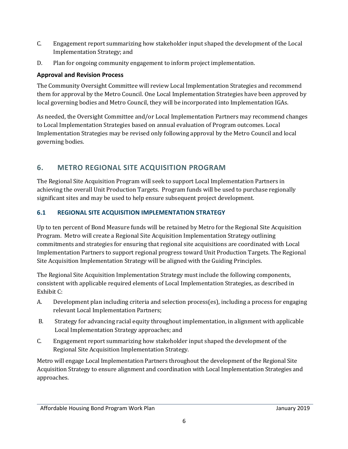- C. Engagement report summarizing how stakeholder input shaped the development of the Local Implementation Strategy; and
- D. Plan for ongoing community engagement to inform project implementation.

## **Approval and Revision Process**

The Community Oversight Committee will review Local Implementation Strategies and recommend them for approval by the Metro Council. One Local Implementation Strategies have been approved by local governing bodies and Metro Council, they will be incorporated into Implementation IGAs.

As needed, the Oversight Committee and/or Local Implementation Partners may recommend changes to Local Implementation Strategies based on annual evaluation of Program outcomes. Local Implementation Strategies may be revised only following approval by the Metro Council and local governing bodies.

# <span id="page-10-0"></span>**6. METRO REGIONAL SITE ACQUISITION PROGRAM**

The Regional Site Acquisition Program will seek to support Local Implementation Partners in achieving the overall Unit Production Targets. Program funds will be used to purchase regionally significant sites and may be used to help ensure subsequent project development.

## <span id="page-10-1"></span>**6.1 REGIONAL SITE ACQUISITION IMPLEMENTATION STRATEGY**

Up to ten percent of Bond Measure funds will be retained by Metro for the Regional Site Acquisition Program. Metro will create a Regional Site Acquisition Implementation Strategy outlining commitments and strategies for ensuring that regional site acquisitions are coordinated with Local Implementation Partners to support regional progress toward Unit Production Targets. The Regional Site Acquisition Implementation Strategy will be aligned with the Guiding Principles.

The Regional Site Acquisition Implementation Strategy must include the following components, consistent with applicable required elements of Local Implementation Strategies, as described in Exhibit C:

- A. Development plan including criteria and selection process(es), including a process for engaging relevant Local Implementation Partners;
- B. Strategy for advancing racial equity throughout implementation, in alignment with applicable Local Implementation Strategy approaches; and
- C. Engagement report summarizing how stakeholder input shaped the development of the Regional Site Acquisition Implementation Strategy.

Metro will engage Local Implementation Partners throughout the development of the Regional Site Acquisition Strategy to ensure alignment and coordination with Local Implementation Strategies and approaches.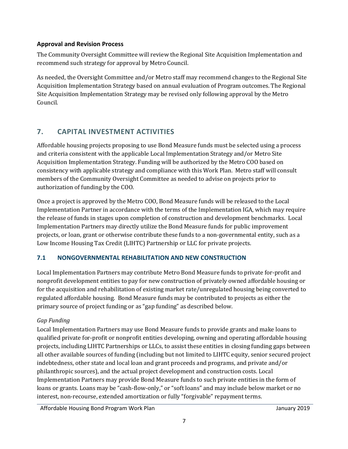## **Approval and Revision Process**

The Community Oversight Committee will review the Regional Site Acquisition Implementation and recommend such strategy for approval by Metro Council.

As needed, the Oversight Committee and/or Metro staff may recommend changes to the Regional Site Acquisition Implementation Strategy based on annual evaluation of Program outcomes. The Regional Site Acquisition Implementation Strategy may be revised only following approval by the Metro Council.

# <span id="page-11-0"></span>**7. CAPITAL INVESTMENT ACTIVITIES**

Affordable housing projects proposing to use Bond Measure funds must be selected using a process and criteria consistent with the applicable Local Implementation Strategy and/or Metro Site Acquisition Implementation Strategy. Funding will be authorized by the Metro COO based on consistency with applicable strategy and compliance with this Work Plan. Metro staff will consult members of the Community Oversight Committee as needed to advise on projects prior to authorization of funding by the COO.

Once a project is approved by the Metro COO, Bond Measure funds will be released to the Local Implementation Partner in accordance with the terms of the Implementation IGA, which may require the release of funds in stages upon completion of construction and development benchmarks. Local Implementation Partners may directly utilize the Bond Measure funds for public improvement projects, or loan, grant or otherwise contribute these funds to a non-governmental entity, such as a Low Income Housing Tax Credit (LIHTC) Partnership or LLC for private projects.

## <span id="page-11-1"></span>**7.1 NONGOVERNMENTAL REHABILITATION AND NEW CONSTRUCTION**

Local Implementation Partners may contribute Metro Bond Measure funds to private for-profit and nonprofit development entities to pay for new construction of privately owned affordable housing or for the acquisition and rehabilitation of existing market rate/unregulated housing being converted to regulated affordable housing. Bond Measure funds may be contributed to projects as either the primary source of project funding or as "gap funding" as described below.

## *Gap Funding*

Local Implementation Partners may use Bond Measure funds to provide grants and make loans to qualified private for-profit or nonprofit entities developing, owning and operating affordable housing projects, including LIHTC Partnerships or LLCs, to assist these entities in closing funding gaps between all other available sources of funding (including but not limited to LIHTC equity, senior secured project indebtedness, other state and local loan and grant proceeds and programs, and private and/or philanthropic sources), and the actual project development and construction costs. Local Implementation Partners may provide Bond Measure funds to such private entities in the form of loans or grants. Loans may be "cash-flow-only," or "soft loans" and may include below market or no interest, non-recourse, extended amortization or fully "forgivable" repayment terms.

Affordable Housing Bond Program Work Plan January 2019 anuary 2019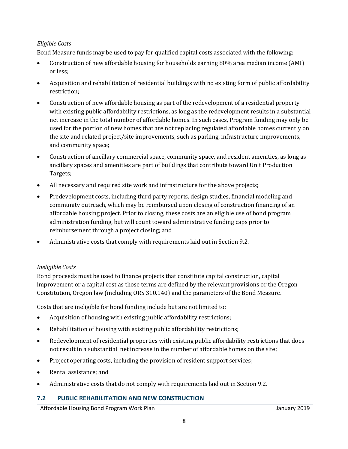## *Eligible Costs*

Bond Measure funds may be used to pay for qualified capital costs associated with the following:

- Construction of new affordable housing for households earning 80% area median income (AMI) or less;
- Acquisition and rehabilitation of residential buildings with no existing form of public affordability restriction;
- Construction of new affordable housing as part of the redevelopment of a residential property with existing public affordability restrictions, as long as the redevelopment results in a substantial net increase in the total number of affordable homes. In such cases, Program funding may only be used for the portion of new homes that are not replacing regulated affordable homes currently on the site and related project/site improvements, such as parking, infrastructure improvements, and community space;
- Construction of ancillary commercial space, community space, and resident amenities, as long as ancillary spaces and amenities are part of buildings that contribute toward Unit Production Targets;
- All necessary and required site work and infrastructure for the above projects;
- Predevelopment costs, including third party reports, design studies, financial modeling and community outreach, which may be reimbursed upon closing of construction financing of an affordable housing project. Prior to closing, these costs are an eligible use of bond program administration funding, but will count toward administrative funding caps prior to reimbursement through a project closing; and
- Administrative costs that comply with requirements laid out in Section 9.2.

## *Ineligible Costs*

Bond proceeds must be used to finance projects that constitute capital construction, capital improvement or a capital cost as those terms are defined by the relevant provisions or the Oregon Constitution, Oregon law (including ORS 310.140) and the parameters of the Bond Measure.

Costs that are ineligible for bond funding include but are not limited to:

- Acquisition of housing with existing public affordability restrictions;
- Rehabilitation of housing with existing public affordability restrictions;
- Redevelopment of residential properties with existing public affordability restrictions that does not result in a substantial net increase in the number of affordable homes on the site;
- Project operating costs, including the provision of resident support services;
- Rental assistance; and
- Administrative costs that do not comply with requirements laid out in Section 9.2.

## <span id="page-12-0"></span>**7.2 PUBLIC REHABILITATION AND NEW CONSTRUCTION**

Affordable Housing Bond Program Work Plan January 2019 anuary 2019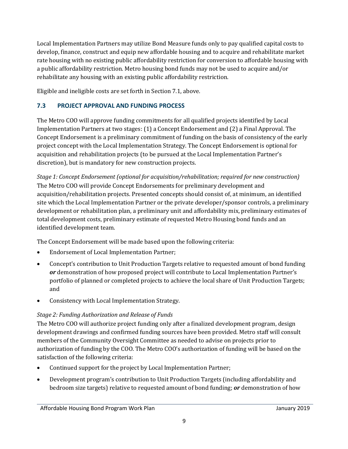Local Implementation Partners may utilize Bond Measure funds only to pay qualified capital costs to develop, finance, construct and equip new affordable housing and to acquire and rehabilitate market rate housing with no existing public affordability restriction for conversion to affordable housing with a public affordability restriction. Metro housing bond funds may not be used to acquire and/or rehabilitate any housing with an existing public affordability restriction.

Eligible and ineligible costs are set forth in Section 7.1, above.

## <span id="page-13-0"></span>**7.3 PROJECT APPROVAL AND FUNDING PROCESS**

The Metro COO will approve funding commitments for all qualified projects identified by Local Implementation Partners at two stages: (1) a Concept Endorsement and (2) a Final Approval. The Concept Endorsement is a preliminary commitment of funding on the basis of consistency of the early project concept with the Local Implementation Strategy. The Concept Endorsement is optional for acquisition and rehabilitation projects (to be pursued at the Local Implementation Partner's discretion), but is mandatory for new construction projects.

*Stage 1: Concept Endorsement (optional for acquisition/rehabilitation; required for new construction)* The Metro COO will provide Concept Endorsements for preliminary development and acquisition/rehabilitation projects. Presented concepts should consist of, at minimum, an identified site which the Local Implementation Partner or the private developer/sponsor controls, a preliminary development or rehabilitation plan, a preliminary unit and affordability mix, preliminary estimates of total development costs, preliminary estimate of requested Metro Housing bond funds and an identified development team.

The Concept Endorsement will be made based upon the following criteria:

- Endorsement of Local Implementation Partner;
- Concept's contribution to Unit Production Targets relative to requested amount of bond funding *or* demonstration of how proposed project will contribute to Local Implementation Partner's portfolio of planned or completed projects to achieve the local share of Unit Production Targets; and
- Consistency with Local Implementation Strategy.

## *Stage 2: Funding Authorization and Release of Funds*

The Metro COO will authorize project funding only after a finalized development program, design development drawings and confirmed funding sources have been provided. Metro staff will consult members of the Community Oversight Committee as needed to advise on projects prior to authorization of funding by the COO. The Metro COO's authorization of funding will be based on the satisfaction of the following criteria:

- Continued support for the project by Local Implementation Partner;
- Development program's contribution to Unit Production Targets (including affordability and bedroom size targets) relative to requested amount of bond funding; *or* demonstration of how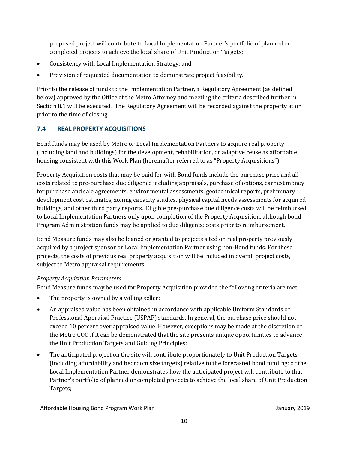proposed project will contribute to Local Implementation Partner's portfolio of planned or completed projects to achieve the local share of Unit Production Targets;

- Consistency with Local Implementation Strategy; and
- Provision of requested documentation to demonstrate project feasibility.

Prior to the release of funds to the Implementation Partner, a Regulatory Agreement (as defined below) approved by the Office of the Metro Attorney and meeting the criteria described further in Section 8.1 will be executed. The Regulatory Agreement will be recorded against the property at or prior to the time of closing.

# <span id="page-14-0"></span>**7.4 REAL PROPERTY ACQUISITIONS**

Bond funds may be used by Metro or Local Implementation Partners to acquire real property (including land and buildings) for the development, rehabilitation, or adaptive reuse as affordable housing consistent with this Work Plan (hereinafter referred to as "Property Acquisitions").

Property Acquisition costs that may be paid for with Bond funds include the purchase price and all costs related to pre-purchase due diligence including appraisals, purchase of options, earnest money for purchase and sale agreements, environmental assessments, geotechnical reports, preliminary development cost estimates, zoning capacity studies, physical capital needs assessments for acquired buildings, and other third party reports. Eligible pre-purchase due diligence costs will be reimbursed to Local Implementation Partners only upon completion of the Property Acquisition, although bond Program Administration funds may be applied to due diligence costs prior to reimbursement.

Bond Measure funds may also be loaned or granted to projects sited on real property previously acquired by a project sponsor or Local Implementation Partner using non-Bond funds. For these projects, the costs of previous real property acquisition will be included in overall project costs, subject to Metro appraisal requirements.

## *Property Acquisition Parameters*

Bond Measure funds may be used for Property Acquisition provided the following criteria are met:

- The property is owned by a willing seller;
- An appraised value has been obtained in accordance with applicable Uniform Standards of Professional Appraisal Practice (USPAP) standards. In general, the purchase price should not exceed 10 percent over appraised value. However, exceptions may be made at the discretion of the Metro COO if it can be demonstrated that the site presents unique opportunities to advance the Unit Production Targets and Guiding Principles;
- The anticipated project on the site will contribute proportionately to Unit Production Targets (including affordability and bedroom size targets) relative to the forecasted bond funding; or the Local Implementation Partner demonstrates how the anticipated project will contribute to that Partner's portfolio of planned or completed projects to achieve the local share of Unit Production Targets;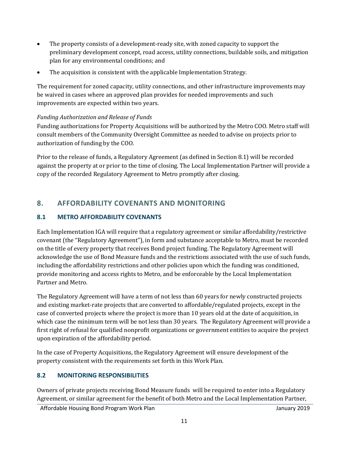- The property consists of a development-ready site, with zoned capacity to support the preliminary development concept, road access, utility connections, buildable soils, and mitigation plan for any environmental conditions; and
- The acquisition is consistent with the applicable Implementation Strategy.

The requirement for zoned capacity, utility connections, and other infrastructure improvements may be waived in cases where an approved plan provides for needed improvements and such improvements are expected within two years.

## *Funding Authorization and Release of Funds*

Funding authorizations for Property Acquisitions will be authorized by the Metro COO. Metro staff will consult members of the Community Oversight Committee as needed to advise on projects prior to authorization of funding by the COO.

Prior to the release of funds, a Regulatory Agreement (as defined in Section 8.1) will be recorded against the property at or prior to the time of closing. The Local Implementation Partner will provide a copy of the recorded Regulatory Agreement to Metro promptly after closing.

# <span id="page-15-0"></span>**8. AFFORDABILITY COVENANTS AND MONITORING**

## <span id="page-15-1"></span>**8.1 METRO AFFORDABILITY COVENANTS**

Each Implementation IGA will require that a regulatory agreement or similar affordability/restrictive covenant (the "Regulatory Agreement"), in form and substance acceptable to Metro, must be recorded on the title of every property that receives Bond project funding. The Regulatory Agreement will acknowledge the use of Bond Measure funds and the restrictions associated with the use of such funds, including the affordability restrictions and other policies upon which the funding was conditioned, provide monitoring and access rights to Metro, and be enforceable by the Local Implementation Partner and Metro.

The Regulatory Agreement will have a term of not less than 60 years for newly constructed projects and existing market-rate projects that are converted to affordable/regulated projects, except in the case of converted projects where the project is more than 10 years old at the date of acquisition, in which case the minimum term will be not less than 30 years. The Regulatory Agreement will provide a first right of refusal for qualified nonprofit organizations or government entities to acquire the project upon expiration of the affordability period.

In the case of Property Acquisitions, the Regulatory Agreement will ensure development of the property consistent with the requirements set forth in this Work Plan.

## <span id="page-15-2"></span>**8.2 MONITORING RESPONSIBILITIES**

Owners of private projects receiving Bond Measure funds will be required to enter into a Regulatory Agreement, or similar agreement for the benefit of both Metro and the Local Implementation Partner,

Affordable Housing Bond Program Work Plan January 2019 anuary 2019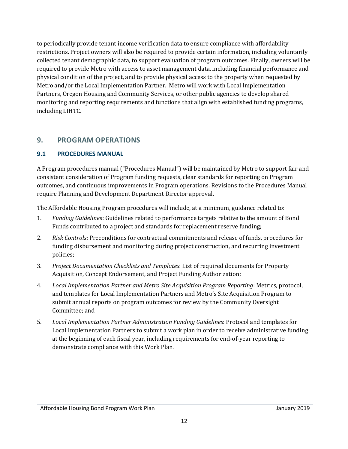to periodically provide tenant income verification data to ensure compliance with affordability restrictions. Project owners will also be required to provide certain information, including voluntarily collected tenant demographic data, to support evaluation of program outcomes. Finally, owners will be required to provide Metro with access to asset management data, including financial performance and physical condition of the project, and to provide physical access to the property when requested by Metro and/or the Local Implementation Partner. Metro will work with Local Implementation Partners, Oregon Housing and Community Services, or other public agencies to develop shared monitoring and reporting requirements and functions that align with established funding programs, including LIHTC.

## <span id="page-16-0"></span>**9. PROGRAM OPERATIONS**

## <span id="page-16-1"></span>**9.1 PROCEDURES MANUAL**

A Program procedures manual ("Procedures Manual") will be maintained by Metro to support fair and consistent consideration of Program funding requests, clear standards for reporting on Program outcomes, and continuous improvements in Program operations. Revisions to the Procedures Manual require Planning and Development Department Director approval.

The Affordable Housing Program procedures will include, at a minimum, guidance related to:

- 1. *Funding Guideline*s: Guidelines related to performance targets relative to the amount of Bond Funds contributed to a project and standards for replacement reserve funding;
- 2. *Risk Controls*: Preconditions for contractual commitments and release of funds, procedures for funding disbursement and monitoring during project construction, and recurring investment policies;
- 3. *Project Documentation Checklists and Templates*: List of required documents for Property Acquisition, Concept Endorsement, and Project Funding Authorization;
- 4. *Local Implementation Partner and Metro Site Acquisition Program Reporting*: Metrics, protocol, and templates for Local Implementation Partners and Metro's Site Acquisition Program to submit annual reports on program outcomes for review by the Community Oversight Committee; and
- 5. *Local Implementation Partner Administration Funding Guidelines*: Protocol and templates for Local Implementation Partners to submit a work plan in order to receive administrative funding at the beginning of each fiscal year, including requirements for end-of-year reporting to demonstrate compliance with this Work Plan.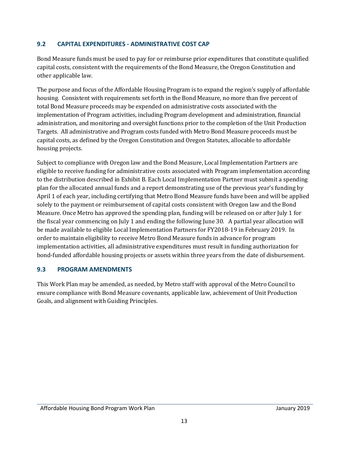## <span id="page-17-0"></span>**9.2 CAPITAL EXPENDITURES - ADMINISTRATIVE COST CAP**

Bond Measure funds must be used to pay for or reimburse prior expenditures that constitute qualified capital costs, consistent with the requirements of the Bond Measure, the Oregon Constitution and other applicable law.

The purpose and focus of the Affordable Housing Program is to expand the region's supply of affordable housing. Consistent with requirements set forth in the Bond Measure, no more than five percent of total Bond Measure proceeds may be expended on administrative costs associated with the implementation of Program activities, including Program development and administration, financial administration, and monitoring and oversight functions prior to the completion of the Unit Production Targets. All administrative and Program costs funded with Metro Bond Measure proceeds must be capital costs, as defined by the Oregon Constitution and Oregon Statutes, allocable to affordable housing projects.

Subject to compliance with Oregon law and the Bond Measure, Local Implementation Partners are eligible to receive funding for administrative costs associated with Program implementation according to the distribution described in Exhibit B. Each Local Implementation Partner must submit a spending plan for the allocated annual funds and a report demonstrating use of the previous year's funding by April 1 of each year, including certifying that Metro Bond Measure funds have been and will be applied solely to the payment or reimbursement of capital costs consistent with Oregon law and the Bond Measure. Once Metro has approved the spending plan, funding will be released on or after July 1 for the fiscal year commencing on July 1 and ending the following June 30. A partial year allocation will be made available to eligible Local Implementation Partners for FY2018-19 in February 2019. In order to maintain eligibility to receive Metro Bond Measure funds in advance for program implementation activities, all administrative expenditures must result in funding authorization for bond-funded affordable housing projects or assets within three years from the date of disbursement.

## <span id="page-17-1"></span>**9.3 PROGRAM AMENDMENTS**

This Work Plan may be amended, as needed, by Metro staff with approval of the Metro Council to ensure compliance with Bond Measure covenants, applicable law, achievement of Unit Production Goals, and alignment with Guiding Principles.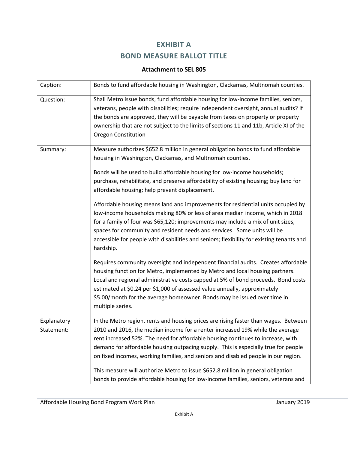# **EXHIBIT A BOND MEASURE BALLOT TITLE**

## **Attachment to SEL 805**

<span id="page-18-0"></span>

| Caption:                  | Bonds to fund affordable housing in Washington, Clackamas, Multnomah counties.                                                                                                                                                                                                                                                                                                                                                                                                                                                                                                                                |  |  |  |  |  |  |
|---------------------------|---------------------------------------------------------------------------------------------------------------------------------------------------------------------------------------------------------------------------------------------------------------------------------------------------------------------------------------------------------------------------------------------------------------------------------------------------------------------------------------------------------------------------------------------------------------------------------------------------------------|--|--|--|--|--|--|
| Question:                 | Shall Metro issue bonds, fund affordable housing for low-income families, seniors,<br>veterans, people with disabilities; require independent oversight, annual audits? If<br>the bonds are approved, they will be payable from taxes on property or property<br>ownership that are not subject to the limits of sections 11 and 11b, Article XI of the<br><b>Oregon Constitution</b>                                                                                                                                                                                                                         |  |  |  |  |  |  |
| Summary:                  | Measure authorizes \$652.8 million in general obligation bonds to fund affordable<br>housing in Washington, Clackamas, and Multnomah counties.<br>Bonds will be used to build affordable housing for low-income households;<br>purchase, rehabilitate, and preserve affordability of existing housing; buy land for<br>affordable housing; help prevent displacement.                                                                                                                                                                                                                                         |  |  |  |  |  |  |
|                           | Affordable housing means land and improvements for residential units occupied by<br>low-income households making 80% or less of area median income, which in 2018<br>for a family of four was \$65,120; improvements may include a mix of unit sizes,<br>spaces for community and resident needs and services. Some units will be<br>accessible for people with disabilities and seniors; flexibility for existing tenants and<br>hardship.                                                                                                                                                                   |  |  |  |  |  |  |
|                           | Requires community oversight and independent financial audits. Creates affordable<br>housing function for Metro, implemented by Metro and local housing partners.<br>Local and regional administrative costs capped at 5% of bond proceeds. Bond costs<br>estimated at \$0.24 per \$1,000 of assessed value annually, approximately<br>\$5.00/month for the average homeowner. Bonds may be issued over time in<br>multiple series.                                                                                                                                                                           |  |  |  |  |  |  |
| Explanatory<br>Statement: | In the Metro region, rents and housing prices are rising faster than wages. Between<br>2010 and 2016, the median income for a renter increased 19% while the average<br>rent increased 52%. The need for affordable housing continues to increase, with<br>demand for affordable housing outpacing supply. This is especially true for people<br>on fixed incomes, working families, and seniors and disabled people in our region.<br>This measure will authorize Metro to issue \$652.8 million in general obligation<br>bonds to provide affordable housing for low-income families, seniors, veterans and |  |  |  |  |  |  |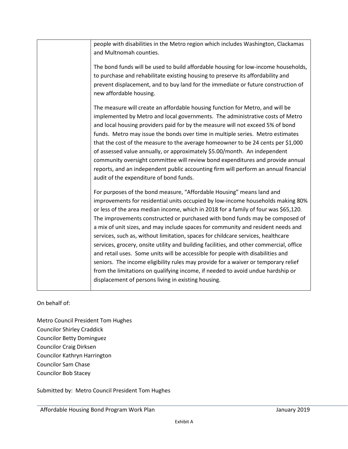| people with disabilities in the Metro region which includes Washington, Clackamas<br>and Multnomah counties.                                                                                                                                                                                                                                                                                                                                                                                                                                                                                                                                                                                                                                                                                                                                                                                                          |
|-----------------------------------------------------------------------------------------------------------------------------------------------------------------------------------------------------------------------------------------------------------------------------------------------------------------------------------------------------------------------------------------------------------------------------------------------------------------------------------------------------------------------------------------------------------------------------------------------------------------------------------------------------------------------------------------------------------------------------------------------------------------------------------------------------------------------------------------------------------------------------------------------------------------------|
| The bond funds will be used to build affordable housing for low-income households,<br>to purchase and rehabilitate existing housing to preserve its affordability and<br>prevent displacement, and to buy land for the immediate or future construction of<br>new affordable housing.                                                                                                                                                                                                                                                                                                                                                                                                                                                                                                                                                                                                                                 |
| The measure will create an affordable housing function for Metro, and will be<br>implemented by Metro and local governments. The administrative costs of Metro<br>and local housing providers paid for by the measure will not exceed 5% of bond<br>funds. Metro may issue the bonds over time in multiple series. Metro estimates<br>that the cost of the measure to the average homeowner to be 24 cents per \$1,000<br>of assessed value annually, or approximately \$5.00/month. An independent<br>community oversight committee will review bond expenditures and provide annual<br>reports, and an independent public accounting firm will perform an annual financial<br>audit of the expenditure of bond funds.                                                                                                                                                                                               |
| For purposes of the bond measure, "Affordable Housing" means land and<br>improvements for residential units occupied by low-income households making 80%<br>or less of the area median income, which in 2018 for a family of four was \$65,120.<br>The improvements constructed or purchased with bond funds may be composed of<br>a mix of unit sizes, and may include spaces for community and resident needs and<br>services, such as, without limitation, spaces for childcare services, healthcare<br>services, grocery, onsite utility and building facilities, and other commercial, office<br>and retail uses. Some units will be accessible for people with disabilities and<br>seniors. The income eligibility rules may provide for a waiver or temporary relief<br>from the limitations on qualifying income, if needed to avoid undue hardship or<br>displacement of persons living in existing housing. |

## On behalf of:

Metro Council President Tom Hughes Councilor Shirley Craddick Councilor Betty Dominguez Councilor Craig Dirksen Councilor Kathryn Harrington Councilor Sam Chase Councilor Bob Stacey

Submitted by: Metro Council President Tom Hughes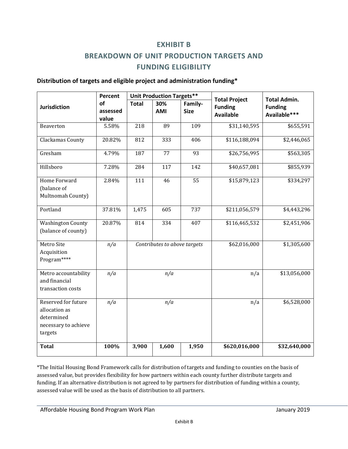## **EXHIBIT B**

# **BREAKDOWN OF UNIT PRODUCTION TARGETS AND FUNDING ELIGIBILITY**

#### <span id="page-20-0"></span>**Distribution of targets and eligible project and administration funding\***

|                                                                                       | Percent                 |                              | <b>Unit Production Targets**</b> |                        |                                                            |                                                       |
|---------------------------------------------------------------------------------------|-------------------------|------------------------------|----------------------------------|------------------------|------------------------------------------------------------|-------------------------------------------------------|
| <b>Jurisdiction</b>                                                                   | of<br>assessed<br>value | <b>Total</b>                 | 30%<br><b>AMI</b>                | Family-<br><b>Size</b> | <b>Total Project</b><br><b>Funding</b><br><b>Available</b> | <b>Total Admin.</b><br><b>Funding</b><br>Available*** |
| Beaverton                                                                             | 5.58%                   | 218                          | 89                               | 109                    | \$31,140,595                                               | \$655,591                                             |
| Clackamas County                                                                      | 20.82%                  | 812                          | 333                              | 406                    | \$116,188,094                                              | \$2,446,065                                           |
| Gresham                                                                               | 4.79%                   | 187                          | 77                               | 93                     | \$26,756,995                                               | \$563,305                                             |
| Hillsboro                                                                             | 7.28%                   | 284                          | 117                              | 142                    | \$40,657,081                                               | \$855,939                                             |
| Home Forward<br>(balance of<br>Multnomah County)                                      | 2.84%                   | 111                          | 46                               | 55                     | \$15,879,123                                               | \$334,297                                             |
| Portland                                                                              | 37.81%                  | 1,475                        | 605                              | 737                    | \$211,056,579                                              | \$4,443,296                                           |
| <b>Washington County</b><br>(balance of county)                                       | 20.87%                  | 814                          | 334                              | 407                    | \$116,465,532                                              | \$2,451,906                                           |
| Metro Site<br>Acquisition<br>Program****                                              | n/a                     | Contributes to above targets |                                  |                        | \$62,016,000                                               | \$1,305,600                                           |
| Metro accountability<br>and financial<br>transaction costs                            | n/a                     | n/a                          |                                  |                        | n/a                                                        | \$13,056,000                                          |
| Reserved for future<br>allocation as<br>determined<br>necessary to achieve<br>targets | n/a                     | n/a                          |                                  |                        | n/a                                                        | \$6,528,000                                           |
| <b>Total</b>                                                                          | 100%                    | 3,900                        | 1,600                            | 1,950                  | \$620,016,000                                              | \$32,640,000                                          |

\*The Initial Housing Bond Framework calls for distribution of targets and funding to counties on the basis of assessed value, but provides flexibility for how partners within each county further distribute targets and funding. If an alternative distribution is not agreed to by partners for distribution of funding within a county, assessed value will be used as the basis of distribution to all partners.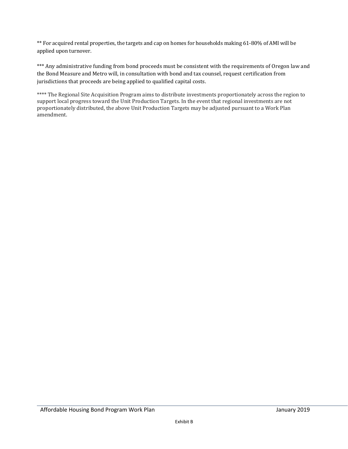\*\* For acquired rental properties, the targets and cap on homes for households making 61-80% of AMI will be applied upon turnover.

\*\*\* Any administrative funding from bond proceeds must be consistent with the requirements of Oregon law and the Bond Measure and Metro will, in consultation with bond and tax counsel, request certification from jurisdictions that proceeds are being applied to qualified capital costs.

\*\*\*\* The Regional Site Acquisition Program aims to distribute investments proportionately across the region to support local progress toward the Unit Production Targets. In the event that regional investments are not proportionately distributed, the above Unit Production Targets may be adjusted pursuant to a Work Plan amendment.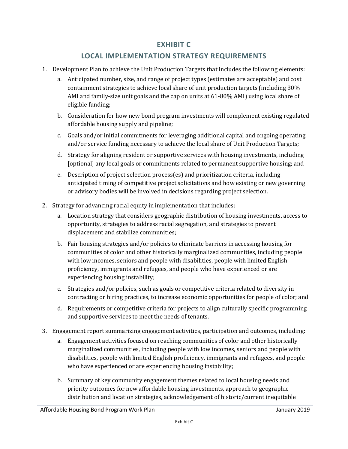## **EXHIBIT C**

## **LOCAL IMPLEMENTATION STRATEGY REQUIREMENTS**

- <span id="page-22-0"></span>1. Development Plan to achieve the Unit Production Targets that includes the following elements:
	- a. Anticipated number, size, and range of project types (estimates are acceptable) and cost containment strategies to achieve local share of unit production targets (including 30% AMI and family-size unit goals and the cap on units at 61-80% AMI) using local share of eligible funding;
	- b. Consideration for how new bond program investments will complement existing regulated affordable housing supply and pipeline;
	- c. Goals and/or initial commitments for leveraging additional capital and ongoing operating and/or service funding necessary to achieve the local share of Unit Production Targets;
	- d. Strategy for aligning resident or supportive services with housing investments, including [optional] any local goals or commitments related to permanent supportive housing; and
	- e. Description of project selection process(es) and prioritization criteria, including anticipated timing of competitive project solicitations and how existing or new governing or advisory bodies will be involved in decisions regarding project selection.
- 2. Strategy for advancing racial equity in implementation that includes:
	- a. Location strategy that considers geographic distribution of housing investments, access to opportunity, strategies to address racial segregation, and strategies to prevent displacement and stabilize communities;
	- b. Fair housing strategies and/or policies to eliminate barriers in accessing housing for communities of color and other historically marginalized communities, including people with low incomes, seniors and people with disabilities, people with limited English proficiency, immigrants and refugees, and people who have experienced or are experiencing housing instability;
	- c. Strategies and/or policies, such as goals or competitive criteria related to diversity in contracting or hiring practices, to increase economic opportunities for people of color; and
	- d. Requirements or competitive criteria for projects to align culturally specific programming and supportive services to meet the needs of tenants.
- 3. Engagement report summarizing engagement activities, participation and outcomes, including:
	- a. Engagement activities focused on reaching communities of color and other historically marginalized communities, including people with low incomes, seniors and people with disabilities, people with limited English proficiency, immigrants and refugees, and people who have experienced or are experiencing housing instability;
	- b. Summary of key community engagement themes related to local housing needs and priority outcomes for new affordable housing investments, approach to geographic distribution and location strategies, acknowledgement of historic/current inequitable